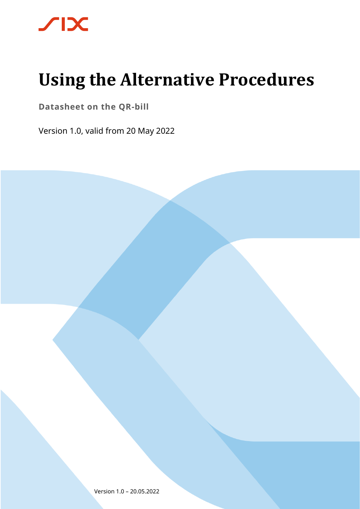

# **Using the Alternative Procedures**

**Datasheet on the QR-bill**

Version 1.0, valid from 20 May 2022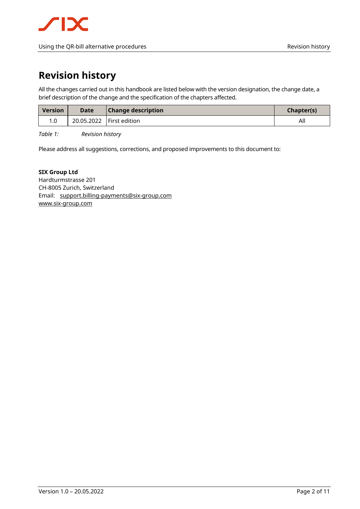### <span id="page-1-0"></span>**Revision history**

All the changes carried out in this handbook are listed below with the version designation, the change date, a brief description of the change and the specification of the chapters affected.

| <b>Version</b> | <b>Date</b>                | <b>Change description</b> | <b>Chapter(s)</b> |
|----------------|----------------------------|---------------------------|-------------------|
|                | 20.05.2022   First edition |                           | All               |

<span id="page-1-1"></span>*Table 1: Revision history*

Please address all suggestions, corrections, and proposed improvements to this document to:

#### **SIX Group Ltd**

Hardturmstrasse 201 CH-8005 Zurich, Switzerland Email: [support.billing-payments@six-group.com](mailto:support.billing-payments@six-group.com) [www.six-group.com](http://www.six-group.com/)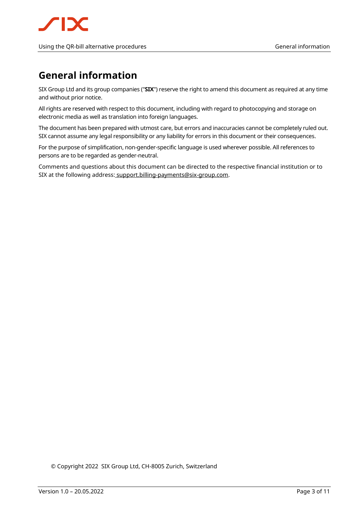#### Using the QR-bill alternative procedures General information General information

### <span id="page-2-0"></span>**General information**

SIX Group Ltd and its group companies ("**SIX**") reserve the right to amend this document as required at any time and without prior notice.

All rights are reserved with respect to this document, including with regard to photocopying and storage on electronic media as well as translation into foreign languages.

The document has been prepared with utmost care, but errors and inaccuracies cannot be completely ruled out. SIX cannot assume any legal responsibility or any liability for errors in this document or their consequences.

For the purpose of simplification, non-gender-specific language is used wherever possible. All references to persons are to be regarded as gender-neutral.

Comments and questions about this document can be directed to the respective financial institution or to SIX at the following address: [support.billing-payments@six-group.com.](mailto:%20support.billing-payments@six-group.com)

© Copyright 2022 SIX Group Ltd, CH-8005 Zurich, Switzerland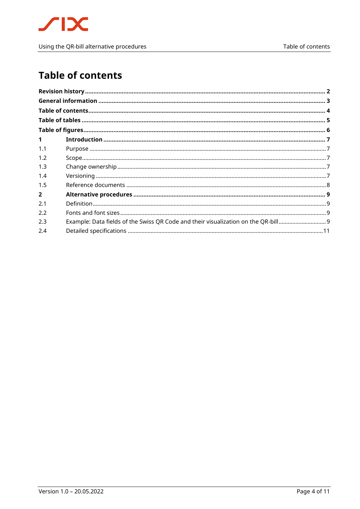

### <span id="page-3-0"></span>**Table of contents**

| $\mathbf 1$                                                                             |  |
|-----------------------------------------------------------------------------------------|--|
| 1.1                                                                                     |  |
| 1.2                                                                                     |  |
| 1.3                                                                                     |  |
| 1.4                                                                                     |  |
| 1.5                                                                                     |  |
| $\overline{2}$                                                                          |  |
| 2.1                                                                                     |  |
| 2.2                                                                                     |  |
| Example: Data fields of the Swiss QR Code and their visualization on the QR-bill<br>2.3 |  |
| 2.4                                                                                     |  |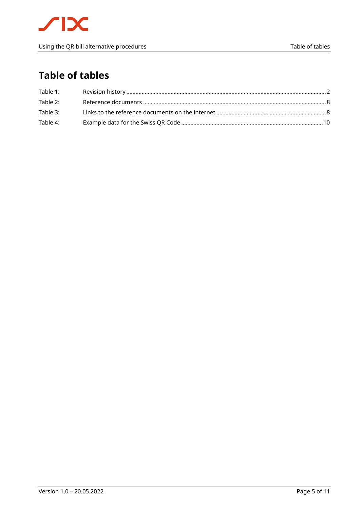### <span id="page-4-0"></span>**Table of tables**

| Table 1: |  |
|----------|--|
| Table 2: |  |
| Table 3: |  |
| Table 4: |  |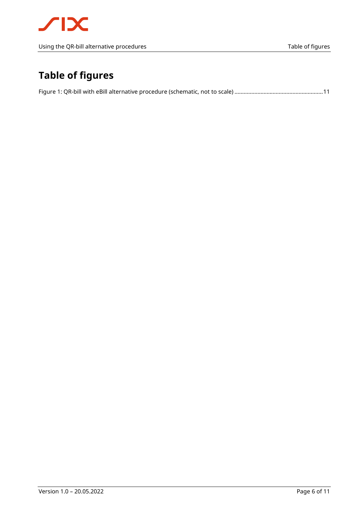## <span id="page-5-0"></span>**Table of figures**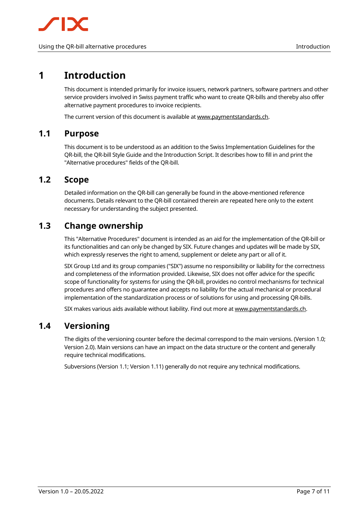### <span id="page-6-0"></span>**1 Introduction**

This document is intended primarily for invoice issuers, network partners, software partners and other service providers involved in Swiss payment traffic who want to create QR-bills and thereby also offer alternative payment procedures to invoice recipients.

The current version of this document is available a[t www.paymentstandards.ch.](https://www.paymentstandards.ch/en/shared/downloads.html)

#### <span id="page-6-1"></span>**1.1 Purpose**

This document is to be understood as an addition to the Swiss Implementation Guidelines for the QR-bill, the QR-bill Style Guide and the Introduction Script. It describes how to fill in and print the "Alternative procedures" fields of the QR-bill.

#### <span id="page-6-2"></span>**1.2 Scope**

Detailed information on the QR-bill can generally be found in the above-mentioned reference documents. Details relevant to the QR-bill contained therein are repeated here only to the extent necessary for understanding the subject presented.

#### <span id="page-6-3"></span>**1.3 Change ownership**

This "Alternative Procedures" document is intended as an aid for the implementation of the QR-bill or its functionalities and can only be changed by SIX. Future changes and updates will be made by SIX, which expressly reserves the right to amend, supplement or delete any part or all of it.

SIX Group Ltd and its group companies ("SIX") assume no responsibility or liability for the correctness and completeness of the information provided. Likewise, SIX does not offer advice for the specific scope of functionality for systems for using the QR-bill, provides no control mechanisms for technical procedures and offers no guarantee and accepts no liability for the actual mechanical or procedural implementation of the standardization process or of solutions for using and processing QR-bills.

SIX makes various aids available without liability. Find out more a[t www.paymentstandards.ch.](http://www.paymentstandards.ch/en)

#### <span id="page-6-4"></span>**1.4 Versioning**

The digits of the versioning counter before the decimal correspond to the main versions. (Version 1.0; Version 2.0). Main versions can have an impact on the data structure or the content and generally require technical modifications.

Subversions (Version 1.1; Version 1.11) generally do not require any technical modifications.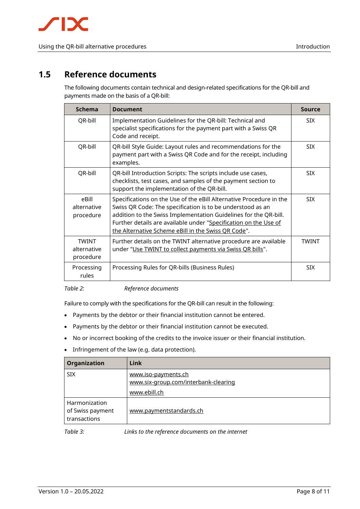#### <span id="page-7-0"></span>**1.5 Reference documents**

The following documents contain technical and design-related specifications for the QR-bill and payments made on the basis of a QR-bill:

| <b>Schema</b>                            | <b>Document</b>                                                                                                                                                                                                                                                                                                                  | <b>Source</b> |
|------------------------------------------|----------------------------------------------------------------------------------------------------------------------------------------------------------------------------------------------------------------------------------------------------------------------------------------------------------------------------------|---------------|
| QR-bill                                  | Implementation Guidelines for the QR-bill: Technical and<br>specialist specifications for the payment part with a Swiss QR<br>Code and receipt.                                                                                                                                                                                  | <b>SIX</b>    |
| QR-bill                                  | QR-bill Style Guide: Layout rules and recommendations for the<br>payment part with a Swiss QR Code and for the receipt, including<br>examples.                                                                                                                                                                                   | <b>SIX</b>    |
| QR-bill                                  | QR-bill Introduction Scripts: The scripts include use cases,<br>checklists, test cases, and samples of the payment section to<br>support the implementation of the QR-bill.                                                                                                                                                      | <b>SIX</b>    |
| eBill<br>alternative<br>procedure        | Specifications on the Use of the eBill Alternative Procedure in the<br>Swiss QR Code: The specification is to be understood as an<br>addition to the Swiss Implementation Guidelines for the QR-bill.<br>Further details are available under "Specification on the Use of<br>the Alternative Scheme eBill in the Swiss OR Code". | <b>SIX</b>    |
| <b>TWINT</b><br>alternative<br>procedure | Further details on the TWINT alternative procedure are available<br>under "Use TWINT to collect payments via Swiss QR bills".                                                                                                                                                                                                    | <b>TWINT</b>  |
| Processing<br>rules                      | Processing Rules for QR-bills (Business Rules)                                                                                                                                                                                                                                                                                   |               |

<span id="page-7-1"></span>*Table 2: Reference documents*

Failure to comply with the specifications for the QR-bill can result in the following:

- Payments by the debtor or their financial institution cannot be entered.
- Payments by the debtor or their financial institution cannot be executed.
- No or incorrect booking of the credits to the invoice issuer or their financial institution.
- Infringement of the law (e.g. data protection).

| Organization                                      | Link                                                                        |
|---------------------------------------------------|-----------------------------------------------------------------------------|
| <b>SIX</b>                                        | www.iso-payments.ch<br>www.six-group.com/interbank-clearing<br>www.ebill.ch |
| Harmonization<br>of Swiss payment<br>transactions | www.paymentstandards.ch                                                     |
| $T_0$ $h/a$ $2.$                                  | Links to the reference decuments on the internet                            |

<span id="page-7-2"></span>*Table 3: Links to the reference documents on the internet*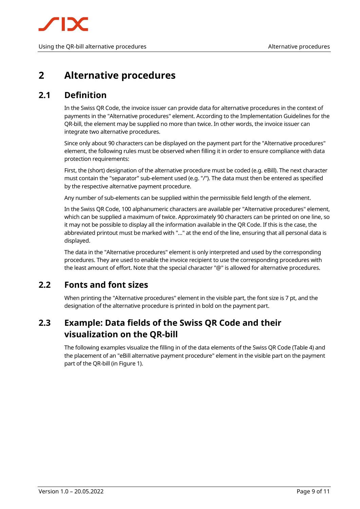

### <span id="page-8-0"></span>**2 Alternative procedures**

### <span id="page-8-1"></span>**2.1 Definition**

In the Swiss QR Code, the invoice issuer can provide data for alternative procedures in the context of payments in the "Alternative procedures" element. According to the Implementation Guidelines for the QR-bill, the element may be supplied no more than twice. In other words, the invoice issuer can integrate two alternative procedures.

Since only about 90 characters can be displayed on the payment part for the "Alternative procedures" element, the following rules must be observed when filling it in order to ensure compliance with data protection requirements:

First, the (short) designation of the alternative procedure must be coded (e.g. eBill). The next character must contain the "separator" sub-element used (e.g. "/"). The data must then be entered as specified by the respective alternative payment procedure.

Any number of sub-elements can be supplied within the permissible field length of the element.

In the Swiss QR Code, 100 alphanumeric characters are available per "Alternative procedures" element, which can be supplied a maximum of twice. Approximately 90 characters can be printed on one line, so it may not be possible to display all the information available in the QR Code. If this is the case, the abbreviated printout must be marked with "…" at the end of the line, ensuring that all personal data is displayed.

The data in the "Alternative procedures" element is only interpreted and used by the corresponding procedures. They are used to enable the invoice recipient to use the corresponding procedures with the least amount of effort. Note that the special character "@" is allowed for alternative procedures.

### <span id="page-8-2"></span>**2.2 Fonts and font sizes**

When printing the "Alternative procedures" element in the visible part, the font size is 7 pt, and the designation of the alternative procedure is printed in bold on the payment part.

### <span id="page-8-3"></span>**2.3 Example: Data fields of the Swiss QR Code and their visualization on the QR-bill**

The following examples visualize the filling in of the data elements of the Swiss QR Code [\(Table 4\)](#page-9-0) and the placement of an "eBill alternative payment procedure" element in the visible part on the payment part of the QR-bill (in [Figure 1\)](#page-10-1).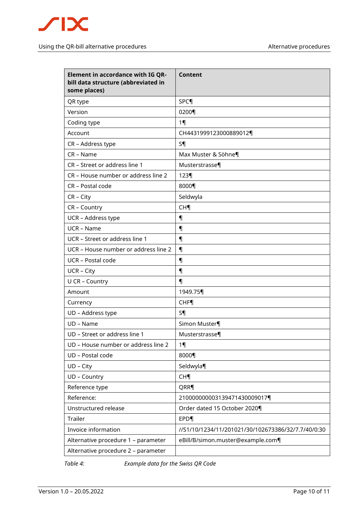

| <b>Element in accordance with IG QR-</b><br>bill data structure (abbreviated in<br>some places) | Content                                            |  |
|-------------------------------------------------------------------------------------------------|----------------------------------------------------|--|
| QR type                                                                                         | SPC                                                |  |
| Version                                                                                         | 0200¶                                              |  |
| Coding type                                                                                     | $1 \P$                                             |  |
| Account                                                                                         | CH4431999123000889012¶                             |  |
| CR - Address type                                                                               | S <sub>1</sub>                                     |  |
| CR - Name                                                                                       | Max Muster & Söhne¶                                |  |
| CR - Street or address line 1                                                                   | Musterstrasse¶                                     |  |
| CR - House number or address line 2                                                             | $123\P$                                            |  |
| CR - Postal code                                                                                | 8000¶                                              |  |
| $CR - City$                                                                                     | Seldwyla                                           |  |
| CR - Country                                                                                    | <b>CH¶</b>                                         |  |
| UCR - Address type                                                                              | $\P$                                               |  |
| <b>UCR - Name</b>                                                                               | 1                                                  |  |
| UCR - Street or address line 1                                                                  | $\P$                                               |  |
| UCR – House number or address line 2                                                            | $\P$                                               |  |
| UCR - Postal code                                                                               | 1                                                  |  |
| <b>UCR - City</b>                                                                               | 1                                                  |  |
| U CR - Country                                                                                  | 1                                                  |  |
| Amount                                                                                          | 1949.75¶                                           |  |
| Currency                                                                                        | <b>CHF</b>                                         |  |
| UD - Address type                                                                               | S¶                                                 |  |
| UD - Name                                                                                       | Simon Muster                                       |  |
| UD - Street or address line 1                                                                   | Musterstrasse¶                                     |  |
| UD - House number or address line 2                                                             | $1\P$                                              |  |
| UD - Postal code                                                                                | 8000¶                                              |  |
| UD - City                                                                                       | Seldwyla¶                                          |  |
| UD - Country                                                                                    | CH <sub>1</sub>                                    |  |
| Reference type                                                                                  | QRR¶                                               |  |
| Reference:                                                                                      | 210000000003139471430009017¶                       |  |
| Unstructured release                                                                            | Order dated 15 October 2020¶                       |  |
| Trailer                                                                                         | <b>EPD</b> <sup></sup>                             |  |
| Invoice information                                                                             | //S1/10/1234/11/201021/30/102673386/32/7.7/40/0:30 |  |
| Alternative procedure 1 - parameter                                                             | eBill/B/simon.muster@example.com¶                  |  |
| Alternative procedure 2 - parameter                                                             |                                                    |  |

<span id="page-9-0"></span>*Table 4: Example data for the Swiss QR Code*